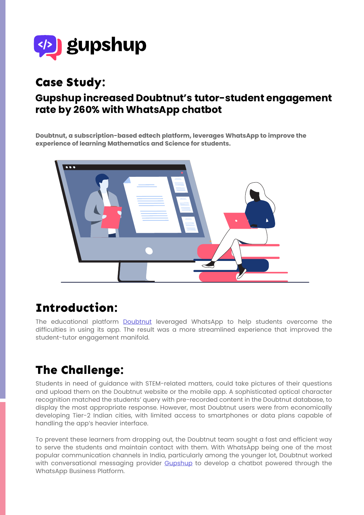

## **Case Study:**

#### **Gupshup increased Doubtnut's tutor-student engagement rate by 260% with WhatsApp chatbot**

**Doubtnut, a subscription-based edtech platform, leverages WhatsApp to improve the experience of learning Mathematics and Science for students.**



## **Introduction:**

The educational platform **Doubtnut** leveraged WhatsApp to help students overcome the difficulties in using its app. The result was a more streamlined experience that improved the student-tutor engagement manifold.

# **The Challenge:**

Students in need of guidance with STEM-related matters, could take pictures of their questions and upload them on the Doubtnut website or the mobile app. A sophisticated optical character recognition matched the students' query with pre-recorded content in the Doubtnut database, to display the most appropriate response. However, most Doubtnut users were from economically developing Tier-2 Indian cities, with limited access to smartphones or data plans capable of handling the app's heavier interface.

To prevent these learners from dropping out, the Doubtnut team sought a fast and efficient way to serve the students and maintain contact with them. With WhatsApp being one of the most popular communication channels in India, particularly among the younger lot, Doubtnut worked with conversational messaging provider Gupshup to develop a chatbot powered through the WhatsApp Business Platform.